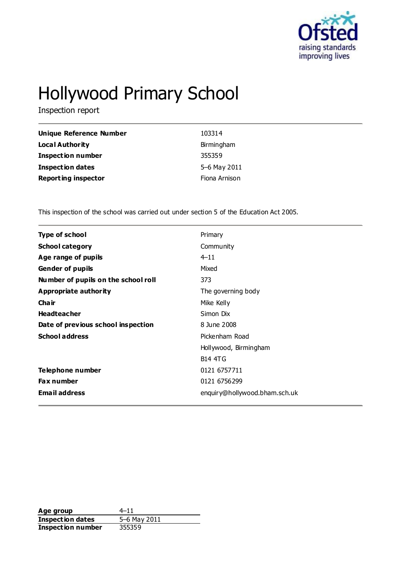

# Hollywood Primary School

Inspection report

| Unique Reference Number    | 103314        |
|----------------------------|---------------|
| <b>Local Authority</b>     | Birmingham    |
| <b>Inspection number</b>   | 355359        |
| <b>Inspection dates</b>    | 5-6 May 2011  |
| <b>Reporting inspector</b> | Fiona Arnison |

This inspection of the school was carried out under section 5 of the Education Act 2005.

| <b>Type of school</b>               | Primary                       |
|-------------------------------------|-------------------------------|
| <b>School category</b>              | Community                     |
| Age range of pupils                 | $4 - 11$                      |
| <b>Gender of pupils</b>             | Mixed                         |
| Number of pupils on the school roll | 373                           |
| Appropriate authority               | The governing body            |
| Cha ir                              | Mike Kelly                    |
| <b>Headteacher</b>                  | Simon Dix                     |
| Date of previous school inspection  | 8 June 2008                   |
| <b>School address</b>               | Pickenham Road                |
|                                     | Hollywood, Birmingham         |
|                                     | <b>B14 4TG</b>                |
| Telephone number                    | 0121 6757711                  |
| Fax number                          | 0121 6756299                  |
| <b>Email address</b>                | enquiry@hollywood.bham.sch.uk |
|                                     |                               |

**Age group** 4–11<br> **Inspection dates** 5–6 May 2011 **Inspection dates** 5–6 May<br>**Inspection number** 355359 **Inspection number**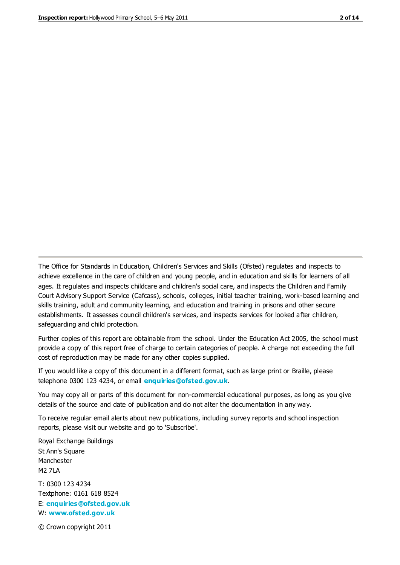The Office for Standards in Education, Children's Services and Skills (Ofsted) regulates and inspects to achieve excellence in the care of children and young people, and in education and skills for learners of all ages. It regulates and inspects childcare and children's social care, and inspects the Children and Family Court Advisory Support Service (Cafcass), schools, colleges, initial teacher training, work-based learning and skills training, adult and community learning, and education and training in prisons and other secure establishments. It assesses council children's services, and inspects services for looked after children, safeguarding and child protection.

Further copies of this report are obtainable from the school. Under the Education Act 2005, the school must provide a copy of this report free of charge to certain categories of people. A charge not exceeding the full cost of reproduction may be made for any other copies supplied.

If you would like a copy of this document in a different format, such as large print or Braille, please telephone 0300 123 4234, or email **[enquiries@ofsted.gov.uk](mailto:enquiries@ofsted.gov.uk)**.

You may copy all or parts of this document for non-commercial educational purposes, as long as you give details of the source and date of publication and do not alter the documentation in any way.

To receive regular email alerts about new publications, including survey reports and school inspection reports, please visit our website and go to 'Subscribe'.

Royal Exchange Buildings St Ann's Square Manchester M2 7LA T: 0300 123 4234 Textphone: 0161 618 8524 E: **[enquiries@ofsted.gov.uk](mailto:enquiries@ofsted.gov.uk)**

W: **[www.ofsted.gov.uk](http://www.ofsted.gov.uk/)**

© Crown copyright 2011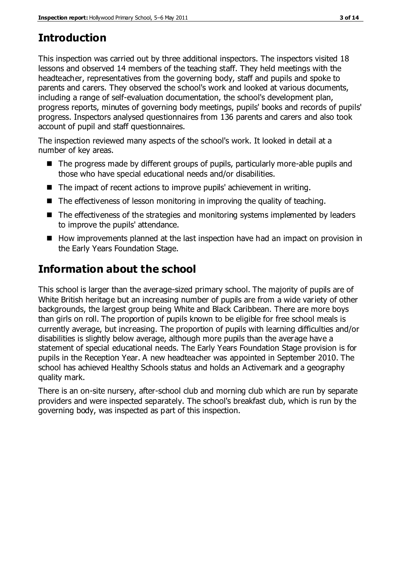# **Introduction**

This inspection was carried out by three additional inspectors. The inspectors visited 18 lessons and observed 14 members of the teaching staff. They held meetings with the headteacher, representatives from the governing body, staff and pupils and spoke to parents and carers. They observed the school's work and looked at various documents, including a range of self-evaluation documentation, the school's development plan, progress reports, minutes of governing body meetings, pupils' books and records of pupils' progress. Inspectors analysed questionnaires from 136 parents and carers and also took account of pupil and staff questionnaires.

The inspection reviewed many aspects of the school's work. It looked in detail at a number of key areas.

- The progress made by different groups of pupils, particularly more-able pupils and those who have special educational needs and/or disabilities.
- The impact of recent actions to improve pupils' achievement in writing.
- The effectiveness of lesson monitoring in improving the quality of teaching.
- The effectiveness of the strategies and monitoring systems implemented by leaders to improve the pupils' attendance.
- How improvements planned at the last inspection have had an impact on provision in the Early Years Foundation Stage.

# **Information about the school**

This school is larger than the average-sized primary school. The majority of pupils are of White British heritage but an increasing number of pupils are from a wide variety of other backgrounds, the largest group being White and Black Caribbean. There are more boys than girls on roll. The proportion of pupils known to be eligible for free school meals is currently average, but increasing. The proportion of pupils with learning difficulties and/or disabilities is slightly below average, although more pupils than the average have a statement of special educational needs. The Early Years Foundation Stage provision is for pupils in the Reception Year. A new headteacher was appointed in September 2010. The school has achieved Healthy Schools status and holds an Activemark and a geography quality mark.

There is an on-site nursery, after-school club and morning club which are run by separate providers and were inspected separately. The school's breakfast club, which is run by the governing body, was inspected as part of this inspection.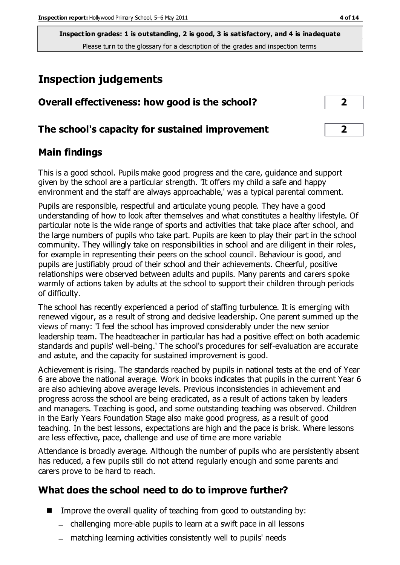**Inspection grades: 1 is outstanding, 2 is good, 3 is satisfactory, and 4 is inadequate** Please turn to the glossary for a description of the grades and inspection terms

# **Inspection judgements**

| Overall effectiveness: how good is the school?  | $\overline{2}$ |  |
|-------------------------------------------------|----------------|--|
| The school's capacity for sustained improvement | $\overline{2}$ |  |

## **Main findings**

This is a good school. Pupils make good progress and the care, guidance and support given by the school are a particular strength. 'It offers my child a safe and happy environment and the staff are always approachable,' was a typical parental comment.

Pupils are responsible, respectful and articulate young people. They have a good understanding of how to look after themselves and what constitutes a healthy lifestyle. Of particular note is the wide range of sports and activities that take place after school, and the large numbers of pupils who take part. Pupils are keen to play their part in the school community. They willingly take on responsibilities in school and are diligent in their roles, for example in representing their peers on the school council. Behaviour is good, and pupils are justifiably proud of their school and their achievements. Cheerful, positive relationships were observed between adults and pupils. Many parents and carers spoke warmly of actions taken by adults at the school to support their children through periods of difficulty.

The school has recently experienced a period of staffing turbulence. It is emerging with renewed vigour, as a result of strong and decisive leadership. One parent summed up the views of many: 'I feel the school has improved considerably under the new senior leadership team. The headteacher in particular has had a positive effect on both academic standards and pupils' well-being.' The school's procedures for self-evaluation are accurate and astute, and the capacity for sustained improvement is good.

Achievement is rising. The standards reached by pupils in national tests at the end of Year 6 are above the national average. Work in books indicates that pupils in the current Year 6 are also achieving above average levels. Previous inconsistencies in achievement and progress across the school are being eradicated, as a result of actions taken by leaders and managers. Teaching is good, and some outstanding teaching was observed. Children in the Early Years Foundation Stage also make good progress, as a result of good teaching. In the best lessons, expectations are high and the pace is brisk. Where lessons are less effective, pace, challenge and use of time are more variable

Attendance is broadly average. Although the number of pupils who are persistently absent has reduced, a few pupils still do not attend regularly enough and some parents and carers prove to be hard to reach.

## **What does the school need to do to improve further?**

- $\blacksquare$  Improve the overall quality of teaching from good to outstanding by:
	- challenging more-able pupils to learn at a swift pace in all lessons
	- matching learning activities consistently well to pupils' needs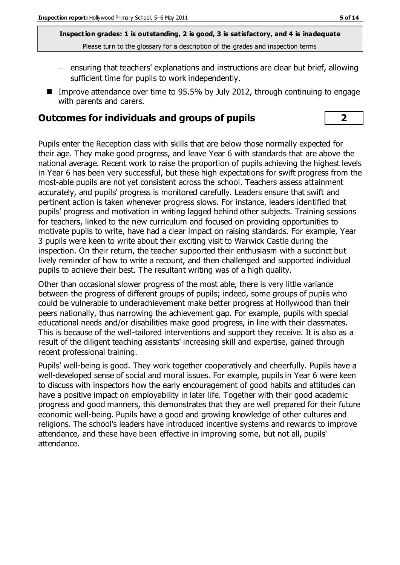**Inspection grades: 1 is outstanding, 2 is good, 3 is satisfactory, and 4 is inadequate** Please turn to the glossary for a description of the grades and inspection terms

- ensuring that teachers' explanations and instructions are clear but brief, allowing sufficient time for pupils to work independently.
- **IMPROVE attendance over time to 95.5% by July 2012, through continuing to engage** with parents and carers.

#### **Outcomes for individuals and groups of pupils 2**

Pupils enter the Reception class with skills that are below those normally expected for their age. They make good progress, and leave Year 6 with standards that are above the national average. Recent work to raise the proportion of pupils achieving the highest levels in Year 6 has been very successful, but these high expectations for swift progress from the most-able pupils are not yet consistent across the school. Teachers assess attainment accurately, and pupils' progress is monitored carefully. Leaders ensure that swift and pertinent action is taken whenever progress slows. For instance, leaders identified that pupils' progress and motivation in writing lagged behind other subjects. Training sessions for teachers, linked to the new curriculum and focused on providing opportunities to motivate pupils to write, have had a clear impact on raising standards. For example, Year 3 pupils were keen to write about their exciting visit to Warwick Castle during the inspection. On their return, the teacher supported their enthusiasm with a succinct but lively reminder of how to write a recount, and then challenged and supported individual pupils to achieve their best. The resultant writing was of a high quality.

Other than occasional slower progress of the most able, there is very little variance between the progress of different groups of pupils; indeed, some groups of pupils who could be vulnerable to underachievement make better progress at Hollywood than their peers nationally, thus narrowing the achievement gap. For example, pupils with special educational needs and/or disabilities make good progress, in line with their classmates. This is because of the well-tailored interventions and support they receive. It is also as a result of the diligent teaching assistants' increasing skill and expertise, gained through recent professional training.

Pupils' well-being is good. They work together cooperatively and cheerfully. Pupils have a well-developed sense of social and moral issues. For example, pupils in Year 6 were keen to discuss with inspectors how the early encouragement of good habits and attitudes can have a positive impact on employability in later life. Together with their good academic progress and good manners, this demonstrates that they are well prepared for their future economic well-being. Pupils have a good and growing knowledge of other cultures and religions. The school's leaders have introduced incentive systems and rewards to improve attendance, and these have been effective in improving some, but not all, pupils' attendance.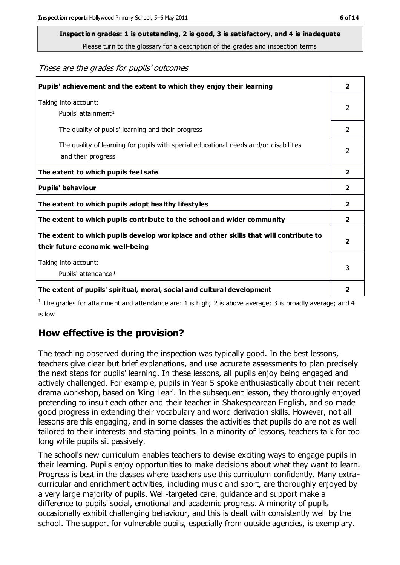# **Inspection grades: 1 is outstanding, 2 is good, 3 is satisfactory, and 4 is inadequate**

Please turn to the glossary for a description of the grades and inspection terms

These are the grades for pupils' outcomes

| Pupils' achievement and the extent to which they enjoy their learning                                                     | $\overline{2}$          |
|---------------------------------------------------------------------------------------------------------------------------|-------------------------|
| Taking into account:<br>Pupils' attainment <sup>1</sup>                                                                   | 2                       |
| The quality of pupils' learning and their progress                                                                        | $\mathcal{P}$           |
| The quality of learning for pupils with special educational needs and/or disabilities<br>and their progress               | $\overline{2}$          |
| The extent to which pupils feel safe                                                                                      | $\mathbf{2}$            |
| Pupils' behaviour                                                                                                         | 2                       |
| The extent to which pupils adopt healthy lifestyles                                                                       | 2                       |
| The extent to which pupils contribute to the school and wider community                                                   | $\overline{2}$          |
| The extent to which pupils develop workplace and other skills that will contribute to<br>their future economic well-being | $\overline{\mathbf{2}}$ |
| Taking into account:<br>Pupils' attendance <sup>1</sup>                                                                   | 3                       |
| The extent of pupils' spiritual, moral, social and cultural development                                                   | 2                       |

<sup>1</sup> The grades for attainment and attendance are: 1 is high; 2 is above average; 3 is broadly average; and 4 is low

## **How effective is the provision?**

The teaching observed during the inspection was typically good. In the best lessons, teachers give clear but brief explanations, and use accurate assessments to plan precisely the next steps for pupils' learning. In these lessons, all pupils enjoy being engaged and actively challenged. For example, pupils in Year 5 spoke enthusiastically about their recent drama workshop, based on 'King Lear'. In the subsequent lesson, they thoroughly enjoyed pretending to insult each other and their teacher in Shakespearean English, and so made good progress in extending their vocabulary and word derivation skills. However, not all lessons are this engaging, and in some classes the activities that pupils do are not as well tailored to their interests and starting points. In a minority of lessons, teachers talk for too long while pupils sit passively.

The school's new curriculum enables teachers to devise exciting ways to engage pupils in their learning. Pupils enjoy opportunities to make decisions about what they want to learn. Progress is best in the classes where teachers use this curriculum confidently. Many extracurricular and enrichment activities, including music and sport, are thoroughly enjoyed by a very large majority of pupils. Well-targeted care, guidance and support make a difference to pupils' social, emotional and academic progress. A minority of pupils occasionally exhibit challenging behaviour, and this is dealt with consistently well by the school. The support for vulnerable pupils, especially from outside agencies, is exemplary.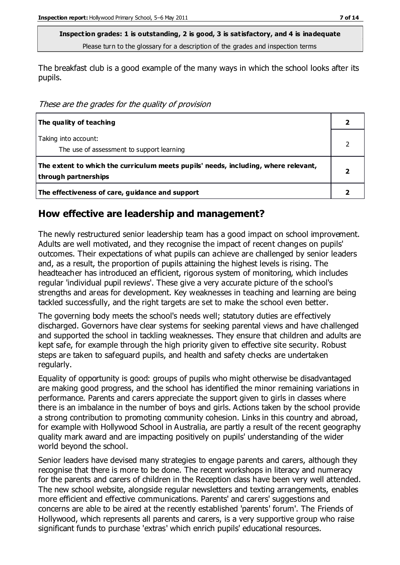**Inspection grades: 1 is outstanding, 2 is good, 3 is satisfactory, and 4 is inadequate** Please turn to the glossary for a description of the grades and inspection terms

The breakfast club is a good example of the many ways in which the school looks after its pupils.

These are the grades for the quality of provision

| The quality of teaching                                                                                    |  |
|------------------------------------------------------------------------------------------------------------|--|
| Taking into account:<br>The use of assessment to support learning                                          |  |
| The extent to which the curriculum meets pupils' needs, including, where relevant,<br>through partnerships |  |
| The effectiveness of care, guidance and support                                                            |  |

#### **How effective are leadership and management?**

The newly restructured senior leadership team has a good impact on school improvement. Adults are well motivated, and they recognise the impact of recent changes on pupils' outcomes. Their expectations of what pupils can achieve are challenged by senior leaders and, as a result, the proportion of pupils attaining the highest levels is rising. The headteacher has introduced an efficient, rigorous system of monitoring, which includes regular 'individual pupil reviews'. These give a very accurate picture of th e school's strengths and areas for development. Key weaknesses in teaching and learning are being tackled successfully, and the right targets are set to make the school even better.

The governing body meets the school's needs well; statutory duties are effectively discharged. Governors have clear systems for seeking parental views and have challenged and supported the school in tackling weaknesses. They ensure that children and adults are kept safe, for example through the high priority given to effective site security. Robust steps are taken to safeguard pupils, and health and safety checks are undertaken regularly.

Equality of opportunity is good: groups of pupils who might otherwise be disadvantaged are making good progress, and the school has identified the minor remaining variations in performance. Parents and carers appreciate the support given to girls in classes where there is an imbalance in the number of boys and girls. Actions taken by the school provide a strong contribution to promoting community cohesion. Links in this country and abroad, for example with Hollywood School in Australia, are partly a result of the recent geography quality mark award and are impacting positively on pupils' understanding of the wider world beyond the school.

Senior leaders have devised many strategies to engage parents and carers, although they recognise that there is more to be done. The recent workshops in literacy and numeracy for the parents and carers of children in the Reception class have been very well attended. The new school website, alongside regular newsletters and texting arrangements, enables more efficient and effective communications. Parents' and carers' suggestions and concerns are able to be aired at the recently established 'parents' forum'. The Friends of Hollywood, which represents all parents and carers, is a very supportive group who raise significant funds to purchase 'extras' which enrich pupils' educational resources.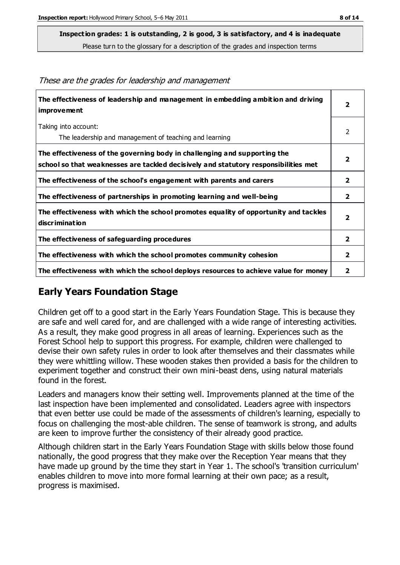**Inspection grades: 1 is outstanding, 2 is good, 3 is satisfactory, and 4 is inadequate**

Please turn to the glossary for a description of the grades and inspection terms

| The effectiveness of leadership and management in embedding ambition and driving<br>improvement                                                                  | $\mathbf{2}$            |
|------------------------------------------------------------------------------------------------------------------------------------------------------------------|-------------------------|
| Taking into account:<br>The leadership and management of teaching and learning                                                                                   | 2                       |
| The effectiveness of the governing body in challenging and supporting the<br>school so that weaknesses are tackled decisively and statutory responsibilities met | $\overline{\mathbf{2}}$ |
| The effectiveness of the school's engagement with parents and carers                                                                                             | $\overline{2}$          |
| The effectiveness of partnerships in promoting learning and well-being                                                                                           | $\overline{\mathbf{2}}$ |
| The effectiveness with which the school promotes equality of opportunity and tackles<br>discrimination                                                           | $\overline{2}$          |
| The effectiveness of safeguarding procedures                                                                                                                     | $\overline{\mathbf{2}}$ |
| The effectiveness with which the school promotes community cohesion                                                                                              | $\overline{2}$          |
| The effectiveness with which the school deploys resources to achieve value for money                                                                             | 2                       |

These are the grades for leadership and management

## **Early Years Foundation Stage**

Children get off to a good start in the Early Years Foundation Stage. This is because they are safe and well cared for, and are challenged with a wide range of interesting activities. As a result, they make good progress in all areas of learning. Experiences such as the Forest School help to support this progress. For example, children were challenged to devise their own safety rules in order to look after themselves and their classmates while they were whittling willow. These wooden stakes then provided a basis for the children to experiment together and construct their own mini-beast dens, using natural materials found in the forest.

Leaders and managers know their setting well. Improvements planned at the time of the last inspection have been implemented and consolidated. Leaders agree with inspectors that even better use could be made of the assessments of children's learning, especially to focus on challenging the most-able children. The sense of teamwork is strong, and adults are keen to improve further the consistency of their already good practice.

Although children start in the Early Years Foundation Stage with skills below those found nationally, the good progress that they make over the Reception Year means that they have made up ground by the time they start in Year 1. The school's 'transition curriculum' enables children to move into more formal learning at their own pace; as a result, progress is maximised.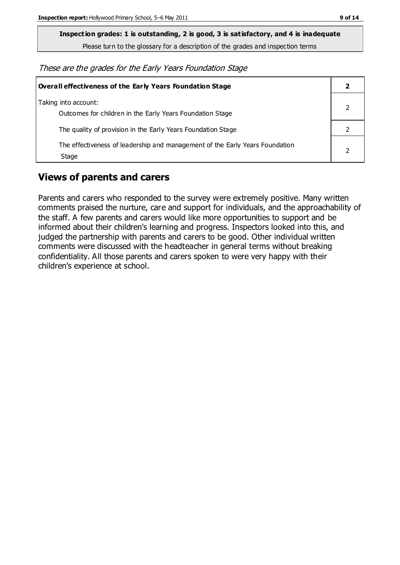**Inspection grades: 1 is outstanding, 2 is good, 3 is satisfactory, and 4 is inadequate**

Please turn to the glossary for a description of the grades and inspection terms

These are the grades for the Early Years Foundation Stage

| Overall effectiveness of the Early Years Foundation Stage                             |  |
|---------------------------------------------------------------------------------------|--|
| Taking into account:<br>Outcomes for children in the Early Years Foundation Stage     |  |
| The quality of provision in the Early Years Foundation Stage                          |  |
| The effectiveness of leadership and management of the Early Years Foundation<br>Stage |  |

## **Views of parents and carers**

Parents and carers who responded to the survey were extremely positive. Many written comments praised the nurture, care and support for individuals, and the approachability of the staff. A few parents and carers would like more opportunities to support and be informed about their children's learning and progress. Inspectors looked into this, and judged the partnership with parents and carers to be good. Other individual written comments were discussed with the headteacher in general terms without breaking confidentiality. All those parents and carers spoken to were very happy with their children's experience at school.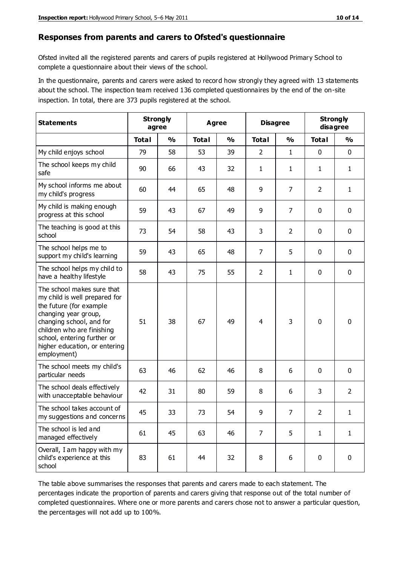#### **Responses from parents and carers to Ofsted's questionnaire**

Ofsted invited all the registered parents and carers of pupils registered at Hollywood Primary School to complete a questionnaire about their views of the school.

In the questionnaire, parents and carers were asked to record how strongly they agreed with 13 statements about the school. The inspection team received 136 completed questionnaires by the end of the on-site inspection. In total, there are 373 pupils registered at the school.

| <b>Statements</b>                                                                                                                                                                                                                                       | <b>Strongly</b><br>Agree<br>agree |               | <b>Disagree</b> |               | <b>Strongly</b><br>disagree |                |                |                |
|---------------------------------------------------------------------------------------------------------------------------------------------------------------------------------------------------------------------------------------------------------|-----------------------------------|---------------|-----------------|---------------|-----------------------------|----------------|----------------|----------------|
|                                                                                                                                                                                                                                                         | <b>Total</b>                      | $\frac{0}{0}$ | <b>Total</b>    | $\frac{0}{0}$ | <b>Total</b>                | $\frac{0}{0}$  | <b>Total</b>   | $\frac{0}{0}$  |
| My child enjoys school                                                                                                                                                                                                                                  | 79                                | 58            | 53              | 39            | $\overline{2}$              | $\mathbf{1}$   | $\mathbf 0$    | $\mathbf 0$    |
| The school keeps my child<br>safe                                                                                                                                                                                                                       | 90                                | 66            | 43              | 32            | 1                           | $\mathbf{1}$   | 1              | $\mathbf{1}$   |
| My school informs me about<br>my child's progress                                                                                                                                                                                                       | 60                                | 44            | 65              | 48            | 9                           | 7              | $\overline{2}$ | $\mathbf{1}$   |
| My child is making enough<br>progress at this school                                                                                                                                                                                                    | 59                                | 43            | 67              | 49            | 9                           | $\overline{7}$ | 0              | $\mathbf 0$    |
| The teaching is good at this<br>school                                                                                                                                                                                                                  | 73                                | 54            | 58              | 43            | 3                           | $\overline{2}$ | $\mathbf 0$    | $\mathbf 0$    |
| The school helps me to<br>support my child's learning                                                                                                                                                                                                   | 59                                | 43            | 65              | 48            | $\overline{7}$              | 5              | $\mathbf 0$    | $\mathbf 0$    |
| The school helps my child to<br>have a healthy lifestyle                                                                                                                                                                                                | 58                                | 43            | 75              | 55            | $\overline{2}$              | $\mathbf{1}$   | $\mathbf 0$    | $\mathbf 0$    |
| The school makes sure that<br>my child is well prepared for<br>the future (for example<br>changing year group,<br>changing school, and for<br>children who are finishing<br>school, entering further or<br>higher education, or entering<br>employment) | 51                                | 38            | 67              | 49            | $\overline{4}$              | 3              | $\mathbf 0$    | $\mathbf 0$    |
| The school meets my child's<br>particular needs                                                                                                                                                                                                         | 63                                | 46            | 62              | 46            | 8                           | 6              | $\mathbf 0$    | $\mathbf 0$    |
| The school deals effectively<br>with unacceptable behaviour                                                                                                                                                                                             | 42                                | 31            | 80              | 59            | 8                           | 6              | 3              | $\overline{2}$ |
| The school takes account of<br>my suggestions and concerns                                                                                                                                                                                              | 45                                | 33            | 73              | 54            | 9                           | 7              | $\overline{2}$ | 1              |
| The school is led and<br>managed effectively                                                                                                                                                                                                            | 61                                | 45            | 63              | 46            | $\overline{7}$              | 5              | $\mathbf{1}$   | $\mathbf{1}$   |
| Overall, I am happy with my<br>child's experience at this<br>school                                                                                                                                                                                     | 83                                | 61            | 44              | 32            | 8                           | 6              | $\mathbf 0$    | $\mathbf 0$    |

The table above summarises the responses that parents and carers made to each statement. The percentages indicate the proportion of parents and carers giving that response out of the total number of completed questionnaires. Where one or more parents and carers chose not to answer a particular question, the percentages will not add up to 100%.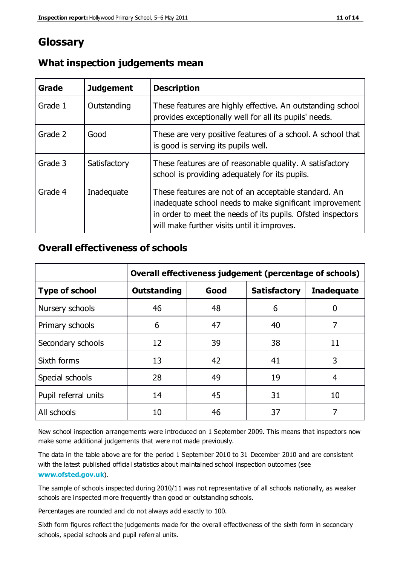## **Glossary**

| Grade   | <b>Judgement</b> | <b>Description</b>                                                                                                                                                                                                            |
|---------|------------------|-------------------------------------------------------------------------------------------------------------------------------------------------------------------------------------------------------------------------------|
| Grade 1 | Outstanding      | These features are highly effective. An outstanding school<br>provides exceptionally well for all its pupils' needs.                                                                                                          |
| Grade 2 | Good             | These are very positive features of a school. A school that<br>is good is serving its pupils well.                                                                                                                            |
| Grade 3 | Satisfactory     | These features are of reasonable quality. A satisfactory<br>school is providing adequately for its pupils.                                                                                                                    |
| Grade 4 | Inadequate       | These features are not of an acceptable standard. An<br>inadequate school needs to make significant improvement<br>in order to meet the needs of its pupils. Ofsted inspectors<br>will make further visits until it improves. |

#### **What inspection judgements mean**

#### **Overall effectiveness of schools**

|                       | Overall effectiveness judgement (percentage of schools) |      |                     |                   |
|-----------------------|---------------------------------------------------------|------|---------------------|-------------------|
| <b>Type of school</b> | <b>Outstanding</b>                                      | Good | <b>Satisfactory</b> | <b>Inadequate</b> |
| Nursery schools       | 46                                                      | 48   | 6                   |                   |
| Primary schools       | 6                                                       | 47   | 40                  | 7                 |
| Secondary schools     | 12                                                      | 39   | 38                  | 11                |
| Sixth forms           | 13                                                      | 42   | 41                  | 3                 |
| Special schools       | 28                                                      | 49   | 19                  | 4                 |
| Pupil referral units  | 14                                                      | 45   | 31                  | 10                |
| All schools           | 10                                                      | 46   | 37                  |                   |

New school inspection arrangements were introduced on 1 September 2009. This means that inspectors now make some additional judgements that were not made previously.

The data in the table above are for the period 1 September 2010 to 31 December 2010 and are consistent with the latest published official statistics about maintained school inspection outcomes (see **[www.ofsted.gov.uk](http://www.ofsted.gov.uk/)**).

The sample of schools inspected during 2010/11 was not representative of all schools nationally, as weaker schools are inspected more frequently than good or outstanding schools.

Percentages are rounded and do not always add exactly to 100.

Sixth form figures reflect the judgements made for the overall effectiveness of the sixth form in secondary schools, special schools and pupil referral units.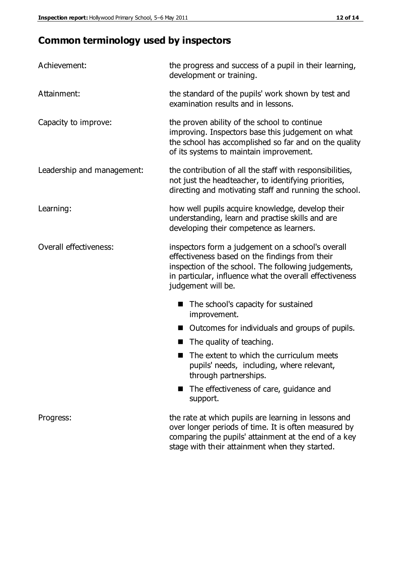## **Common terminology used by inspectors**

| Achievement:               | the progress and success of a pupil in their learning,<br>development or training.                                                                                                                                                          |  |  |
|----------------------------|---------------------------------------------------------------------------------------------------------------------------------------------------------------------------------------------------------------------------------------------|--|--|
| Attainment:                | the standard of the pupils' work shown by test and<br>examination results and in lessons.                                                                                                                                                   |  |  |
| Capacity to improve:       | the proven ability of the school to continue<br>improving. Inspectors base this judgement on what<br>the school has accomplished so far and on the quality<br>of its systems to maintain improvement.                                       |  |  |
| Leadership and management: | the contribution of all the staff with responsibilities,<br>not just the headteacher, to identifying priorities,<br>directing and motivating staff and running the school.                                                                  |  |  |
| Learning:                  | how well pupils acquire knowledge, develop their<br>understanding, learn and practise skills and are<br>developing their competence as learners.                                                                                            |  |  |
| Overall effectiveness:     | inspectors form a judgement on a school's overall<br>effectiveness based on the findings from their<br>inspection of the school. The following judgements,<br>in particular, influence what the overall effectiveness<br>judgement will be. |  |  |
|                            | The school's capacity for sustained<br>improvement.                                                                                                                                                                                         |  |  |
|                            | Outcomes for individuals and groups of pupils.                                                                                                                                                                                              |  |  |
|                            | The quality of teaching.                                                                                                                                                                                                                    |  |  |
|                            | The extent to which the curriculum meets<br>pupils' needs, including, where relevant,<br>through partnerships.                                                                                                                              |  |  |
|                            | The effectiveness of care, guidance and<br>support.                                                                                                                                                                                         |  |  |
| Progress:                  | the rate at which pupils are learning in lessons and<br>over longer periods of time. It is often measured by<br>comparing the pupils' attainment at the end of a key                                                                        |  |  |

stage with their attainment when they started.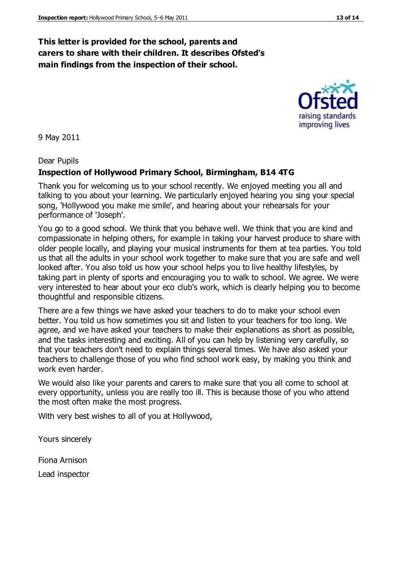#### **This letter is provided for the school, parents and carers to share with their children. It describes Ofsted's main findings from the inspection of their school.**

9 May 2011

Dear Pupils

#### **Inspection of Hollywood Primary School, Birmingham, B14 4TG**

Thank you for welcoming us to your school recently. We enjoyed meeting you all and talking to you about your learning. We particularly enjoyed hearing you sing your special song, 'Hollywood you make me smile', and hearing about your rehearsals for your performance of 'Joseph'.

You go to a good school. We think that you behave well. We think that you are kind and compassionate in helping others, for example in taking your harvest produce to share with older people locally, and playing your musical instruments for them at tea parties. You told us that all the adults in your school work together to make sure that you are safe and well looked after. You also told us how your school helps you to live healthy lifestyles, by taking part in plenty of sports and encouraging you to walk to school. We agree. We were very interested to hear about your eco club's work, which is clearly helping you to become thoughtful and responsible citizens.

There are a few things we have asked your teachers to do to make your school even better. You told us how sometimes you sit and listen to your teachers for too long. We agree, and we have asked your teachers to make their explanations as short as possible, and the tasks interesting and exciting. All of you can help by listening very carefully, so that your teachers don't need to explain things several times. We have also asked your teachers to challenge those of you who find school work easy, by making you think and work even harder.

We would also like your parents and carers to make sure that you all come to school at every opportunity, unless you are really too ill. This is because those of you who attend the most often make the most progress.

With very best wishes to all of you at Hollywood,

Yours sincerely

Fiona Arnison Lead inspector